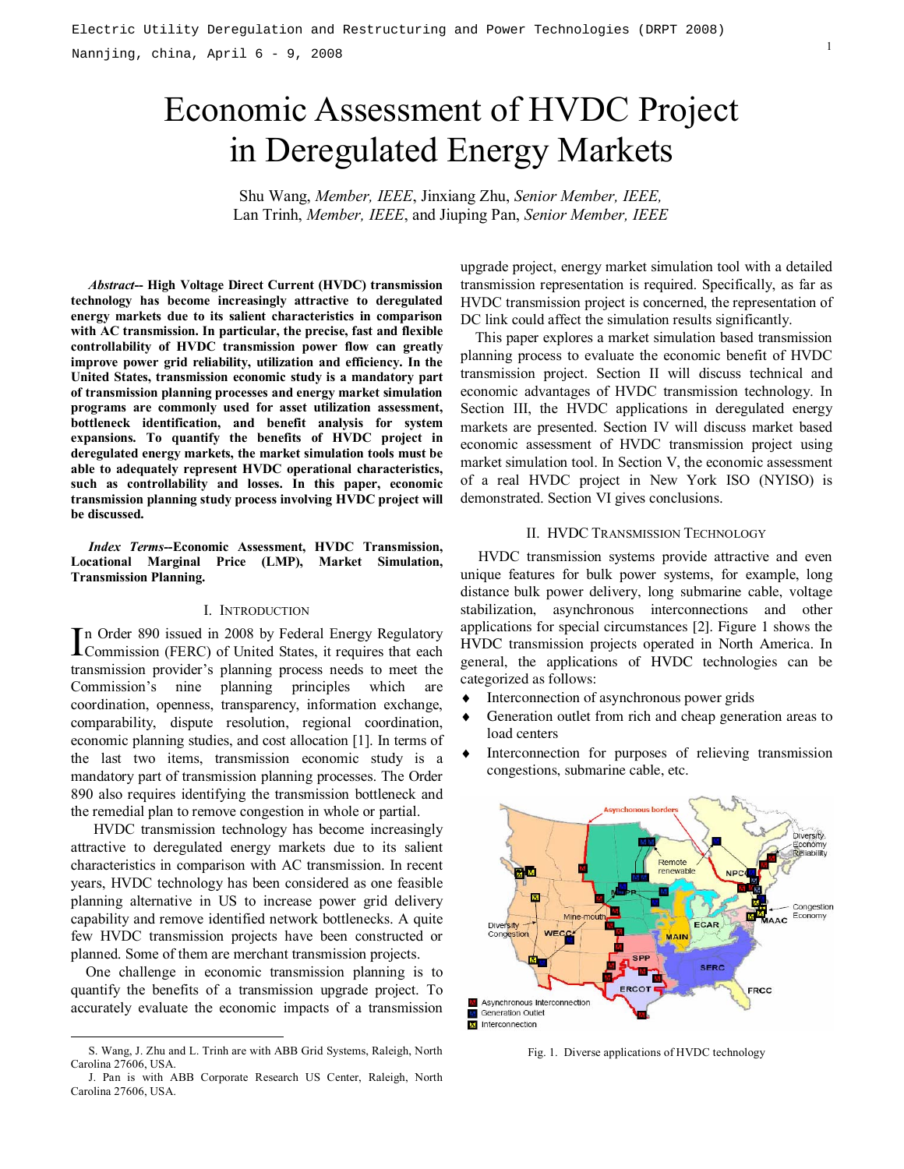# Economic Assessment of HVDC Project in Deregulated Energy Markets

Shu Wang, *Member, IEEE*, Jinxiang Zhu, *Senior Member, IEEE,* Lan Trinh, *Member, IEEE*, and Jiuping Pan, *Senior Member, IEEE*

*Abstract***-- High Voltage Direct Current (HVDC) transmission technology has become increasingly attractive to deregulated energy markets due to its salient characteristics in comparison with AC transmission. In particular, the precise, fast and flexible controllability of HVDC transmission power flow can greatly improve power grid reliability, utilization and efficiency. In the United States, transmission economic study is a mandatory part of transmission planning processes and energy market simulation programs are commonly used for asset utilization assessment, bottleneck identification, and benefit analysis for system expansions. To quantify the benefits of HVDC project in deregulated energy markets, the market simulation tools must be able to adequately represent HVDC operational characteristics, such as controllability and losses. In this paper, economic transmission planning study process involving HVDC project will be discussed.** 

*Index Terms***--Economic Assessment, HVDC Transmission, Locational Marginal Price (LMP), Market Simulation, Transmission Planning.** 

#### I. INTRODUCTION

In Order 890 issued in 2008 by Federal Energy Regulatory<br>Commission (FERC) of United States, it requires that each **L**Commission (FERC) of United States, it requires that each transmission provider's planning process needs to meet the Commission's nine planning principles which are coordination, openness, transparency, information exchange, comparability, dispute resolution, regional coordination, economic planning studies, and cost allocation [1]. In terms of the last two items, transmission economic study is a mandatory part of transmission planning processes. The Order 890 also requires identifying the transmission bottleneck and the remedial plan to remove congestion in whole or partial.

 HVDC transmission technology has become increasingly attractive to deregulated energy markets due to its salient characteristics in comparison with AC transmission. In recent years, HVDC technology has been considered as one feasible planning alternative in US to increase power grid delivery capability and remove identified network bottlenecks. A quite few HVDC transmission projects have been constructed or planned. Some of them are merchant transmission projects.

One challenge in economic transmission planning is to quantify the benefits of a transmission upgrade project. To accurately evaluate the economic impacts of a transmission

upgrade project, energy market simulation tool with a detailed transmission representation is required. Specifically, as far as HVDC transmission project is concerned, the representation of DC link could affect the simulation results significantly.

 This paper explores a market simulation based transmission planning process to evaluate the economic benefit of HVDC transmission project. Section II will discuss technical and economic advantages of HVDC transmission technology. In Section III, the HVDC applications in deregulated energy markets are presented. Section IV will discuss market based economic assessment of HVDC transmission project using market simulation tool. In Section V, the economic assessment of a real HVDC project in New York ISO (NYISO) is demonstrated. Section VI gives conclusions.

## II. HVDC TRANSMISSION TECHNOLOGY

HVDC transmission systems provide attractive and even unique features for bulk power systems, for example, long distance bulk power delivery, long submarine cable, voltage stabilization, asynchronous interconnections and other applications for special circumstances [2]. Figure 1 shows the HVDC transmission projects operated in North America. In general, the applications of HVDC technologies can be categorized as follows:

- Interconnection of asynchronous power grids
- Generation outlet from rich and cheap generation areas to load centers
- Interconnection for purposes of relieving transmission congestions, submarine cable, etc.



Fig. 1. Diverse applications of HVDC technology

S. Wang, J. Zhu and L. Trinh are with ABB Grid Systems, Raleigh, North Carolina 27606, USA.

J. Pan is with ABB Corporate Research US Center, Raleigh, North Carolina 27606, USA.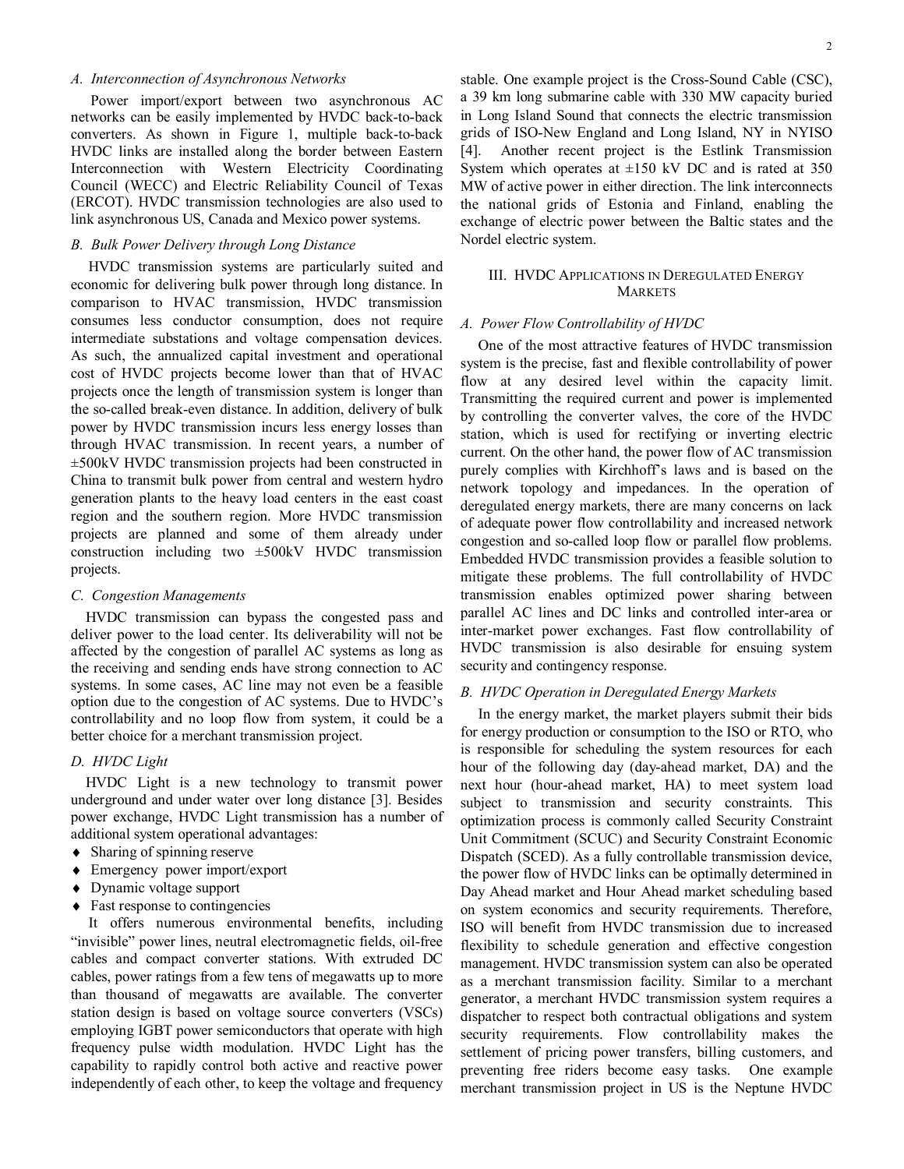# *A. Interconnection of Asynchronous Networks*

 Power import/export between two asynchronous AC networks can be easily implemented by HVDC back-to-back converters. As shown in Figure 1, multiple back-to-back HVDC links are installed along the border between Eastern Interconnection with Western Electricity Coordinating Council (WECC) and Electric Reliability Council of Texas (ERCOT). HVDC transmission technologies are also used to link asynchronous US, Canada and Mexico power systems.

## *B. Bulk Power Delivery through Long Distance*

HVDC transmission systems are particularly suited and economic for delivering bulk power through long distance. In comparison to HVAC transmission, HVDC transmission consumes less conductor consumption, does not require intermediate substations and voltage compensation devices. As such, the annualized capital investment and operational cost of HVDC projects become lower than that of HVAC projects once the length of transmission system is longer than the so-called break-even distance. In addition, delivery of bulk power by HVDC transmission incurs less energy losses than through HVAC transmission. In recent years, a number of ±500kV HVDC transmission projects had been constructed in China to transmit bulk power from central and western hydro generation plants to the heavy load centers in the east coast region and the southern region. More HVDC transmission projects are planned and some of them already under construction including two ±500kV HVDC transmission projects.

## *C. Congestion Managements*

HVDC transmission can bypass the congested pass and deliver power to the load center. Its deliverability will not be affected by the congestion of parallel AC systems as long as the receiving and sending ends have strong connection to AC systems. In some cases, AC line may not even be a feasible option due to the congestion of AC systems. Due to HVDC's controllability and no loop flow from system, it could be a better choice for a merchant transmission project.

## *D. HVDC Light*

HVDC Light is a new technology to transmit power underground and under water over long distance [3]. Besides power exchange, HVDC Light transmission has a number of additional system operational advantages:

- ♦ Sharing of spinning reserve
- ♦ Emergency power import/export
- ♦ Dynamic voltage support
- ♦ Fast response to contingencies

It offers numerous environmental benefits, including "invisible" power lines, neutral electromagnetic fields, oil-free cables and compact converter stations. With extruded DC cables, power ratings from a few tens of megawatts up to more than thousand of megawatts are available. The converter station design is based on voltage source converters (VSCs) employing IGBT power semiconductors that operate with high frequency pulse width modulation. HVDC Light has the capability to rapidly control both active and reactive power independently of each other, to keep the voltage and frequency

stable. One example project is the Cross-Sound Cable (CSC), a 39 km long submarine cable with 330 MW capacity buried in Long Island Sound that connects the electric transmission grids of ISO-New England and Long Island, NY in NYISO [4]. Another recent project is the Estlink Transmission System which operates at  $\pm 150$  kV DC and is rated at 350 MW of active power in either direction. The link interconnects the national grids of Estonia and Finland, enabling the exchange of electric power between the Baltic states and the Nordel electric system.

# III. HVDC APPLICATIONS IN DEREGULATED ENERGY **MARKETS**

## *A. Power Flow Controllability of HVDC*

One of the most attractive features of HVDC transmission system is the precise, fast and flexible controllability of power flow at any desired level within the capacity limit. Transmitting the required current and power is implemented by controlling the converter valves, the core of the HVDC station, which is used for rectifying or inverting electric current. On the other hand, the power flow of AC transmission purely complies with Kirchhoff's laws and is based on the network topology and impedances. In the operation of deregulated energy markets, there are many concerns on lack of adequate power flow controllability and increased network congestion and so-called loop flow or parallel flow problems. Embedded HVDC transmission provides a feasible solution to mitigate these problems. The full controllability of HVDC transmission enables optimized power sharing between parallel AC lines and DC links and controlled inter-area or inter-market power exchanges. Fast flow controllability of HVDC transmission is also desirable for ensuing system security and contingency response.

## *B. HVDC Operation in Deregulated Energy Markets*

In the energy market, the market players submit their bids for energy production or consumption to the ISO or RTO, who is responsible for scheduling the system resources for each hour of the following day (day-ahead market, DA) and the next hour (hour-ahead market, HA) to meet system load subject to transmission and security constraints. This optimization process is commonly called Security Constraint Unit Commitment (SCUC) and Security Constraint Economic Dispatch (SCED). As a fully controllable transmission device, the power flow of HVDC links can be optimally determined in Day Ahead market and Hour Ahead market scheduling based on system economics and security requirements. Therefore, ISO will benefit from HVDC transmission due to increased flexibility to schedule generation and effective congestion management. HVDC transmission system can also be operated as a merchant transmission facility. Similar to a merchant generator, a merchant HVDC transmission system requires a dispatcher to respect both contractual obligations and system security requirements. Flow controllability makes the settlement of pricing power transfers, billing customers, and preventing free riders become easy tasks. One example merchant transmission project in US is the Neptune HVDC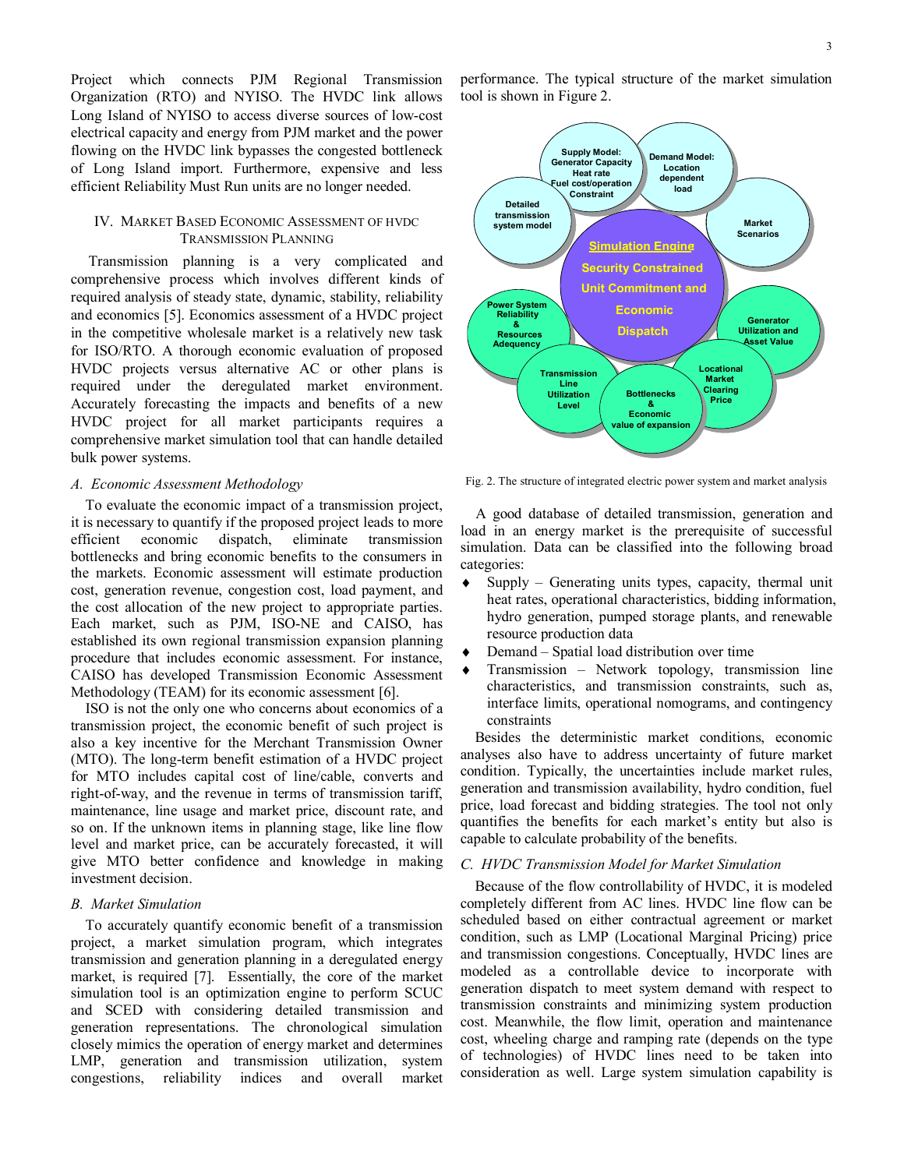Project which connects PJM Regional Transmission Organization (RTO) and NYISO. The HVDC link allows Long Island of NYISO to access diverse sources of low-cost electrical capacity and energy from PJM market and the power flowing on the HVDC link bypasses the congested bottleneck of Long Island import. Furthermore, expensive and less efficient Reliability Must Run units are no longer needed.

# IV. MARKET BASED ECONOMIC ASSESSMENT OF HVDC TRANSMISSION PLANNING

Transmission planning is a very complicated and comprehensive process which involves different kinds of required analysis of steady state, dynamic, stability, reliability and economics [5]. Economics assessment of a HVDC project in the competitive wholesale market is a relatively new task for ISO/RTO. A thorough economic evaluation of proposed HVDC projects versus alternative AC or other plans is required under the deregulated market environment. Accurately forecasting the impacts and benefits of a new HVDC project for all market participants requires a comprehensive market simulation tool that can handle detailed bulk power systems.

# *A. Economic Assessment Methodology*

To evaluate the economic impact of a transmission project, it is necessary to quantify if the proposed project leads to more efficient economic dispatch, eliminate transmission bottlenecks and bring economic benefits to the consumers in the markets. Economic assessment will estimate production cost, generation revenue, congestion cost, load payment, and the cost allocation of the new project to appropriate parties. Each market, such as PJM, ISO-NE and CAISO, has established its own regional transmission expansion planning procedure that includes economic assessment. For instance, CAISO has developed Transmission Economic Assessment Methodology (TEAM) for its economic assessment [6].

ISO is not the only one who concerns about economics of a transmission project, the economic benefit of such project is also a key incentive for the Merchant Transmission Owner (MTO). The long-term benefit estimation of a HVDC project for MTO includes capital cost of line/cable, converts and right-of-way, and the revenue in terms of transmission tariff, maintenance, line usage and market price, discount rate, and so on. If the unknown items in planning stage, like line flow level and market price, can be accurately forecasted, it will give MTO better confidence and knowledge in making investment decision.

## *B. Market Simulation*

To accurately quantify economic benefit of a transmission project, a market simulation program, which integrates transmission and generation planning in a deregulated energy market, is required [7]. Essentially, the core of the market simulation tool is an optimization engine to perform SCUC and SCED with considering detailed transmission and generation representations. The chronological simulation closely mimics the operation of energy market and determines LMP, generation and transmission utilization, system congestions, reliability indices and overall market

performance. The typical structure of the market simulation tool is shown in Figure 2.



Fig. 2. The structure of integrated electric power system and market analysis

 A good database of detailed transmission, generation and load in an energy market is the prerequisite of successful simulation. Data can be classified into the following broad categories:

- ♦ Supply Generating units types, capacity, thermal unit heat rates, operational characteristics, bidding information, hydro generation, pumped storage plants, and renewable resource production data
- Demand Spatial load distribution over time
- Transmission Network topology, transmission line characteristics, and transmission constraints, such as, interface limits, operational nomograms, and contingency constraints

Besides the deterministic market conditions, economic analyses also have to address uncertainty of future market condition. Typically, the uncertainties include market rules, generation and transmission availability, hydro condition, fuel price, load forecast and bidding strategies. The tool not only quantifies the benefits for each market's entity but also is capable to calculate probability of the benefits.

#### *C. HVDC Transmission Model for Market Simulation*

Because of the flow controllability of HVDC, it is modeled completely different from AC lines. HVDC line flow can be scheduled based on either contractual agreement or market condition, such as LMP (Locational Marginal Pricing) price and transmission congestions. Conceptually, HVDC lines are modeled as a controllable device to incorporate with generation dispatch to meet system demand with respect to transmission constraints and minimizing system production cost. Meanwhile, the flow limit, operation and maintenance cost, wheeling charge and ramping rate (depends on the type of technologies) of HVDC lines need to be taken into consideration as well. Large system simulation capability is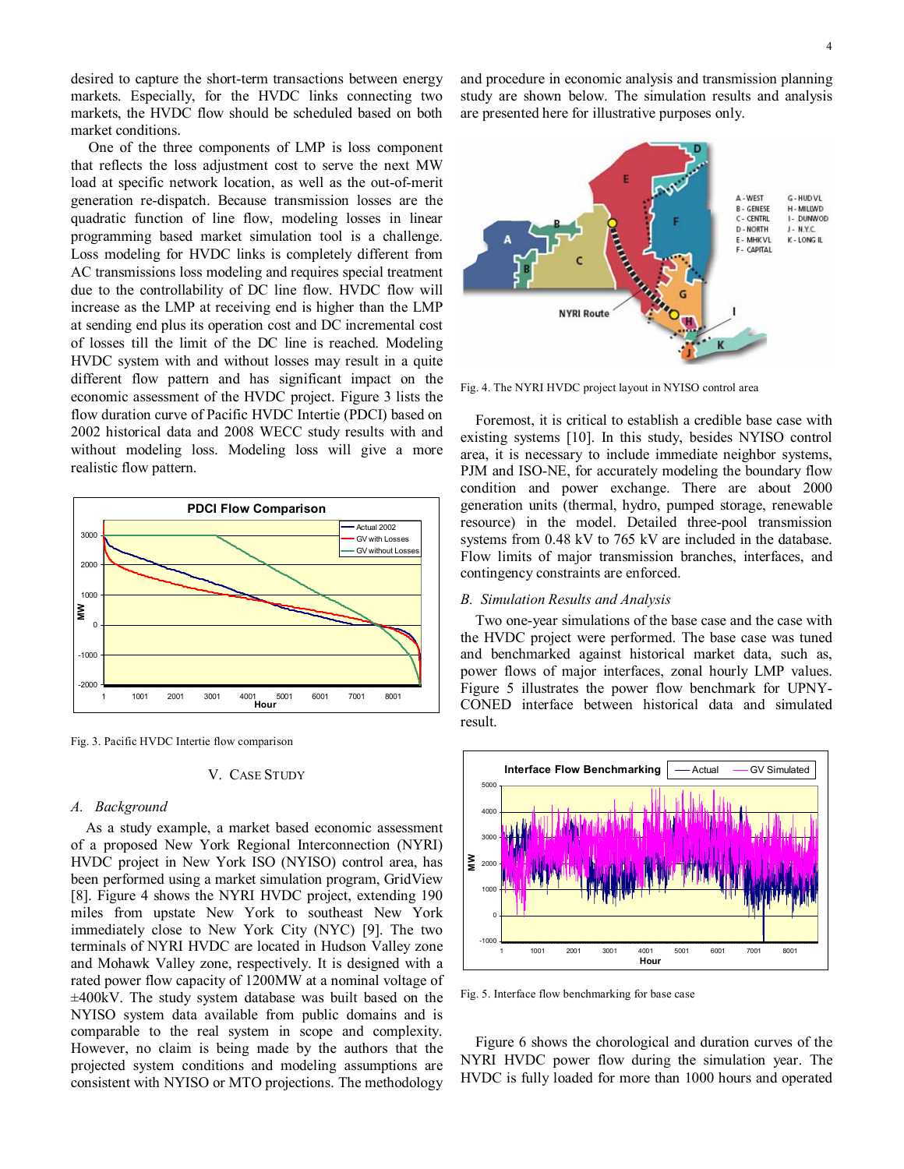desired to capture the short-term transactions between energy markets. Especially, for the HVDC links connecting two markets, the HVDC flow should be scheduled based on both market conditions.

One of the three components of LMP is loss component that reflects the loss adjustment cost to serve the next MW load at specific network location, as well as the out-of-merit generation re-dispatch. Because transmission losses are the quadratic function of line flow, modeling losses in linear programming based market simulation tool is a challenge. Loss modeling for HVDC links is completely different from AC transmissions loss modeling and requires special treatment due to the controllability of DC line flow. HVDC flow will increase as the LMP at receiving end is higher than the LMP at sending end plus its operation cost and DC incremental cost of losses till the limit of the DC line is reached. Modeling HVDC system with and without losses may result in a quite different flow pattern and has significant impact on the economic assessment of the HVDC project. Figure 3 lists the flow duration curve of Pacific HVDC Intertie (PDCI) based on 2002 historical data and 2008 WECC study results with and without modeling loss. Modeling loss will give a more realistic flow pattern.



Fig. 3. Pacific HVDC Intertie flow comparison

#### V. CASE STUDY

#### *A. Background*

As a study example, a market based economic assessment of a proposed New York Regional Interconnection (NYRI) HVDC project in New York ISO (NYISO) control area, has been performed using a market simulation program, GridView [8]. Figure 4 shows the NYRI HVDC project, extending 190 miles from upstate New York to southeast New York immediately close to New York City (NYC) [9]. The two terminals of NYRI HVDC are located in Hudson Valley zone and Mohawk Valley zone, respectively. It is designed with a rated power flow capacity of 1200MW at a nominal voltage of ±400kV. The study system database was built based on the NYISO system data available from public domains and is comparable to the real system in scope and complexity. However, no claim is being made by the authors that the projected system conditions and modeling assumptions are consistent with NYISO or MTO projections. The methodology

and procedure in economic analysis and transmission planning study are shown below. The simulation results and analysis are presented here for illustrative purposes only.



Fig. 4. The NYRI HVDC project layout in NYISO control area

Foremost, it is critical to establish a credible base case with existing systems [10]. In this study, besides NYISO control area, it is necessary to include immediate neighbor systems, PJM and ISO-NE, for accurately modeling the boundary flow condition and power exchange. There are about 2000 generation units (thermal, hydro, pumped storage, renewable resource) in the model. Detailed three-pool transmission systems from 0.48 kV to 765 kV are included in the database. Flow limits of major transmission branches, interfaces, and contingency constraints are enforced.

## *B. Simulation Results and Analysis*

Two one-year simulations of the base case and the case with the HVDC project were performed. The base case was tuned and benchmarked against historical market data, such as, power flows of major interfaces, zonal hourly LMP values. Figure 5 illustrates the power flow benchmark for UPNY-CONED interface between historical data and simulated result.



Fig. 5. Interface flow benchmarking for base case

Figure 6 shows the chorological and duration curves of the NYRI HVDC power flow during the simulation year. The HVDC is fully loaded for more than 1000 hours and operated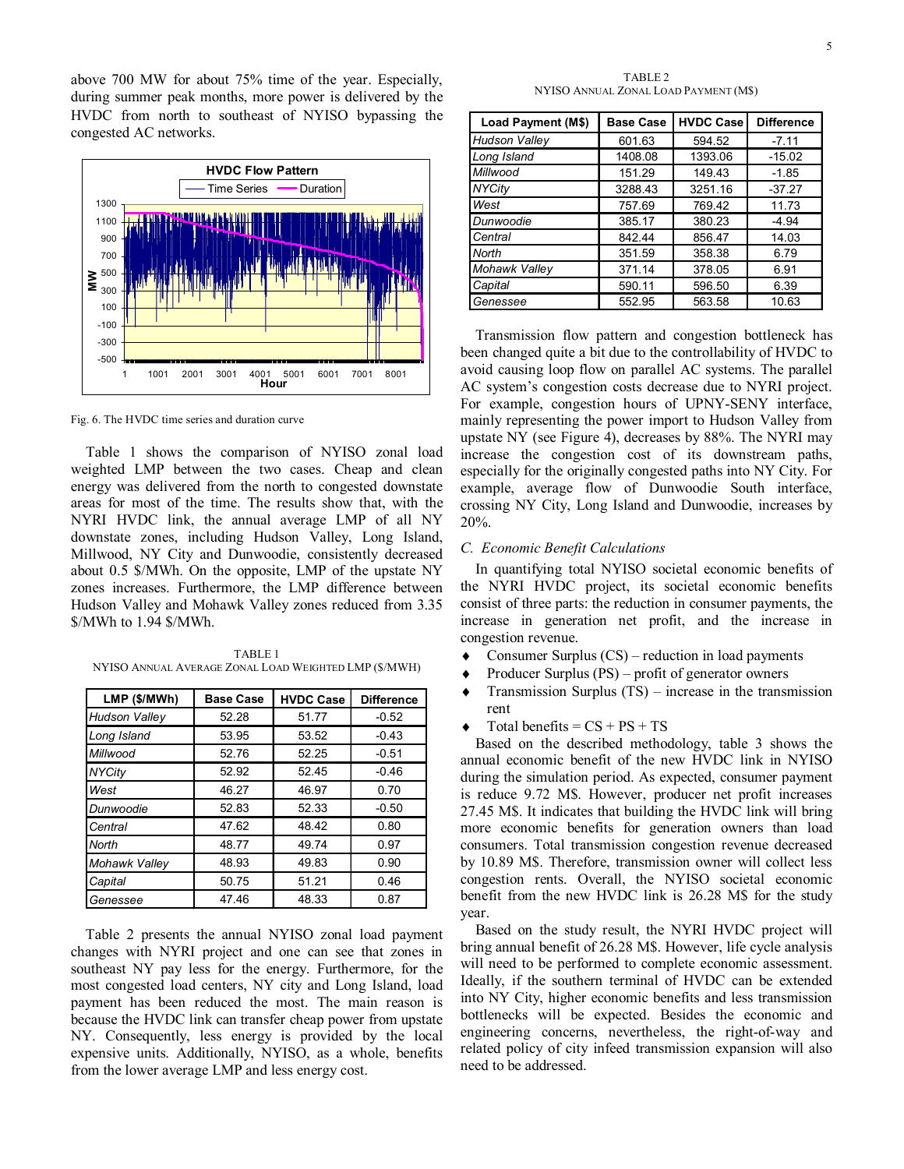above 700 MW for about 75% time of the year. Especially, during summer peak months, more power is delivered by the HVDC from north to southeast of NYISO bypassing the congested AC networks.



Fig. 6. The HVDC time series and duration curve

Table 1 shows the comparison of NYISO zonal load weighted LMP between the two cases. Cheap and clean energy was delivered from the north to congested downstate areas for most of the time. The results show that, with the NYRI HVDC link, the annual average LMP of all NY downstate zones, including Hudson Valley, Long Island, Millwood, NY City and Dunwoodie, consistently decreased about 0.5 \$/MWh. On the opposite, LMP of the upstate NY zones increases. Furthermore, the LMP difference between Hudson Valley and Mohawk Valley zones reduced from 3.35 \$/MWh to 1.94 \$/MWh.

| LMP (\$/MWh)         | <b>Base Case</b> | <b>HVDC Case</b> | <b>Difference</b> |
|----------------------|------------------|------------------|-------------------|
| <b>Hudson Valley</b> | 52.28            | 51.77            | $-0.52$           |
| Long Island          | 53.95            | 53.52            | $-0.43$           |
| Millwood             | 52.76            | 52.25            | $-0.51$           |
| <b>NYCity</b>        | 52.92            | 52.45            | $-0.46$           |
| West                 | 46.27            | 46.97            | 0.70              |
| Dunwoodie            | 52.83            | 52.33            | $-0.50$           |
| Central              | 47.62            | 48.42            | 0.80              |
| North                | 48.77            | 49.74            | 0.97              |
| Mohawk Valley        | 48.93            | 49.83            | 0.90              |
| Capital              | 50.75            | 51.21            | 0.46              |
| Genessee             | 47.46            | 48.33            | 0.87              |

TABLE 1 NYISO ANNUAL AVERAGE ZONAL LOAD WEIGHTED LMP (\$/MWH)

Table 2 presents the annual NYISO zonal load payment changes with NYRI project and one can see that zones in southeast NY pay less for the energy. Furthermore, for the most congested load centers, NY city and Long Island, load payment has been reduced the most. The main reason is because the HVDC link can transfer cheap power from upstate NY. Consequently, less energy is provided by the local expensive units. Additionally, NYISO, as a whole, benefits from the lower average LMP and less energy cost.

TABLE 2 NYISO ANNUAL ZONAL LOAD PAYMENT (M\$)

| Load Payment (M\$)   | <b>Base Case</b> | <b>HVDC Case</b> | <b>Difference</b> |
|----------------------|------------------|------------------|-------------------|
| <b>Hudson Valley</b> | 601.63           | 594.52           | $-7.11$           |
| Long Island          | 1408.08          | 1393.06          | $-15.02$          |
| Millwood             | 151.29           | 149.43           | $-1.85$           |
| <b>NYCity</b>        | 3288.43          | 3251.16          | $-37.27$          |
| West                 | 757.69           | 769.42           | 11.73             |
| Dunwoodie            | 385.17           | 380.23           | $-4.94$           |
| Central              | 842.44           | 856.47           | 14.03             |
| North                | 351.59           | 358.38           | 6.79              |
| Mohawk Valley        | 371.14           | 378.05           | 6.91              |
| Capital              | 590.11           | 596.50           | 6.39              |
| Genessee             | 552.95           | 563.58           | 10.63             |

Transmission flow pattern and congestion bottleneck has been changed quite a bit due to the controllability of HVDC to avoid causing loop flow on parallel AC systems. The parallel AC system's congestion costs decrease due to NYRI project. For example, congestion hours of UPNY-SENY interface, mainly representing the power import to Hudson Valley from upstate NY (see Figure 4), decreases by 88%. The NYRI may increase the congestion cost of its downstream paths, especially for the originally congested paths into NY City. For example, average flow of Dunwoodie South interface, crossing NY City, Long Island and Dunwoodie, increases by 20%.

#### *C. Economic Benefit Calculations*

In quantifying total NYISO societal economic benefits of the NYRI HVDC project, its societal economic benefits consist of three parts: the reduction in consumer payments, the increase in generation net profit, and the increase in congestion revenue.

- $\triangle$  Consumer Surplus (CS) reduction in load payments
- Producer Surplus  $(PS)$  profit of generator owners
- $\triangleleft$  Transmission Surplus (TS) increase in the transmission rent
- $\triangle$  Total benefits = CS + PS + TS

Based on the described methodology, table 3 shows the annual economic benefit of the new HVDC link in NYISO during the simulation period. As expected, consumer payment is reduce 9.72 M\$. However, producer net profit increases 27.45 M\$. It indicates that building the HVDC link will bring more economic benefits for generation owners than load consumers. Total transmission congestion revenue decreased by 10.89 M\$. Therefore, transmission owner will collect less congestion rents. Overall, the NYISO societal economic benefit from the new HVDC link is 26.28 M\$ for the study year.

Based on the study result, the NYRI HVDC project will bring annual benefit of 26.28 M\$. However, life cycle analysis will need to be performed to complete economic assessment. Ideally, if the southern terminal of HVDC can be extended into NY City, higher economic benefits and less transmission bottlenecks will be expected. Besides the economic and engineering concerns, nevertheless, the right-of-way and related policy of city infeed transmission expansion will also need to be addressed.